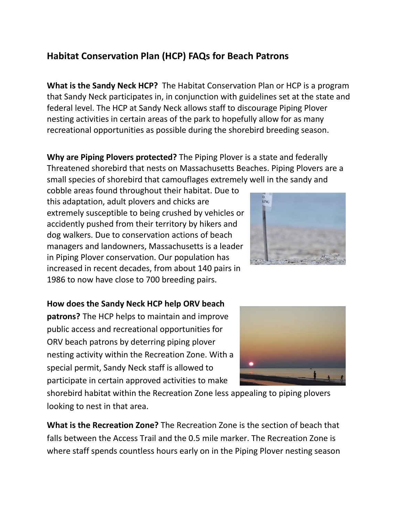## **Habitat Conservation Plan (HCP) FAQs for Beach Patrons**

**What is the Sandy Neck HCP?** The Habitat Conservation Plan or HCP is a program that Sandy Neck participates in, in conjunction with guidelines set at the state and federal level. The HCP at Sandy Neck allows staff to discourage Piping Plover nesting activities in certain areas of the park to hopefully allow for as many recreational opportunities as possible during the shorebird breeding season.

**Why are Piping Plovers protected?** The Piping Plover is a state and federally Threatened shorebird that nests on Massachusetts Beaches. Piping Plovers are a small species of shorebird that camouflages extremely well in the sandy and

cobble areas found throughout their habitat. Due to this adaptation, adult plovers and chicks are extremely susceptible to being crushed by vehicles or accidently pushed from their territory by hikers and dog walkers. Due to conservation actions of beach managers and landowners, Massachusetts is a leader in Piping Plover conservation. Our population has increased in recent decades, from about 140 pairs in 1986 to now have close to 700 breeding pairs.



**How does the Sandy Neck HCP help ORV beach** 

**patrons?** The HCP helps to maintain and improve public access and recreational opportunities for ORV beach patrons by deterring piping plover nesting activity within the Recreation Zone. With a special permit, Sandy Neck staff is allowed to participate in certain approved activities to make



shorebird habitat within the Recreation Zone less appealing to piping plovers looking to nest in that area.

**What is the Recreation Zone?** The Recreation Zone is the section of beach that falls between the Access Trail and the 0.5 mile marker. The Recreation Zone is where staff spends countless hours early on in the Piping Plover nesting season